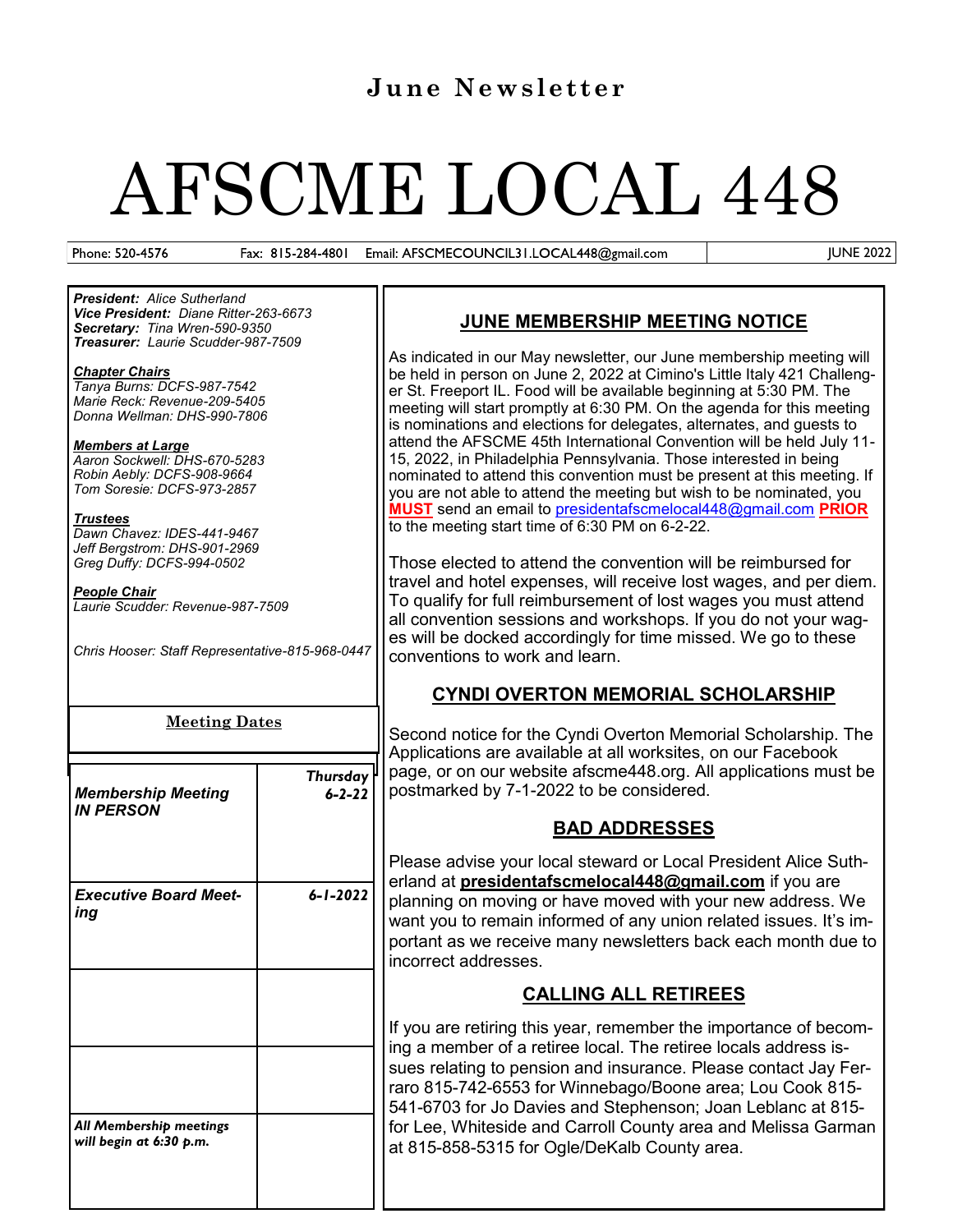# **June Newsletter**

# AFSCME LOCAL 448

Phone: 520-4576

Fax: 815-284-4801 Email: AFSCMECOUNCIL31.LOCAL448@gmail.com JUNE 2022

*President: Alice Sutherland Vice President: Diane Ritter-263-6673 Secretary: Tina Wren-590-9350 Treasurer: Laurie Scudder-987-7509*

#### *Chapter Chairs*

*Tanya Burns: DCFS-987-7542 Marie Reck: Revenue-209-5405 Donna Wellman: DHS-990-7806*

*Members at Large Aaron Sockwell: DHS-670-5283 Robin Aebly: DCFS-908-9664 Tom Soresie: DCFS-973-2857*

*Trustees*

*Dawn Chavez: IDES-441-9467 Jeff Bergstrom: DHS-901-2969 Greg Duffy: DCFS-994-0502*

*People Chair Laurie Scudder: Revenue-987-7509*

*Chris Hooser: Staff Representative-815-968-0447*

#### **Meeting Dates**

| <b>Membership Meeting</b><br><b>IN PERSON</b>      | <b>Thursday</b><br>$6 - 2 - 22$ |
|----------------------------------------------------|---------------------------------|
| <b>Executive Board Meet-</b><br>ing                | $6 - 1 - 2022$                  |
|                                                    |                                 |
| All Membership meetings<br>will begin at 6:30 p.m. |                                 |

# **JUNE MEMBERSHIP MEETING NOTICE**

As indicated in our May newsletter, our June membership meeting will be held in person on June 2, 2022 at Cimino's Little Italy 421 Challenger St. Freeport IL. Food will be available beginning at 5:30 PM. The meeting will start promptly at 6:30 PM. On the agenda for this meeting is nominations and elections for delegates, alternates, and guests to attend the AFSCME 45th International Convention will be held July 11- 15, 2022, in Philadelphia Pennsylvania. Those interested in being nominated to attend this convention must be present at this meeting. If you are not able to attend the meeting but wish to be nominated, you **MUST** send an email to [presidentafscmelocal448@gmail.com](mailto:presidentafscmelocal448@gmail.com) **PRIOR** to the meeting start time of 6:30 PM on 6-2-22.

Those elected to attend the convention will be reimbursed for travel and hotel expenses, will receive lost wages, and per diem. To qualify for full reimbursement of lost wages you must attend all convention sessions and workshops. If you do not your wages will be docked accordingly for time missed. We go to these conventions to work and learn.

# **CYNDI OVERTON MEMORIAL SCHOLARSHIP**

Second notice for the Cyndi Overton Memorial Scholarship. The Applications are available at all worksites, on our Facebook page, or on our website afscme448.org. All applications must be postmarked by 7-1-2022 to be considered.

# **BAD ADDRESSES**

Please advise your local steward or Local President Alice Sutherland at **[presidentafscmelocal448@gmail.com](mailto:presidentafscmelocal448@gmail.com)** if you are planning on moving or have moved with your new address. We want you to remain informed of any union related issues. It's important as we receive many newsletters back each month due to incorrect addresses.

# **CALLING ALL RETIREES**

If you are retiring this year, remember the importance of becoming a member of a retiree local. The retiree locals address issues relating to pension and insurance. Please contact Jay Ferraro 815-742-6553 for Winnebago/Boone area; Lou Cook 815- 541-6703 for Jo Davies and Stephenson; Joan Leblanc at 815 for Lee, Whiteside and Carroll County area and Melissa Garman at 815-858-5315 for Ogle/DeKalb County area.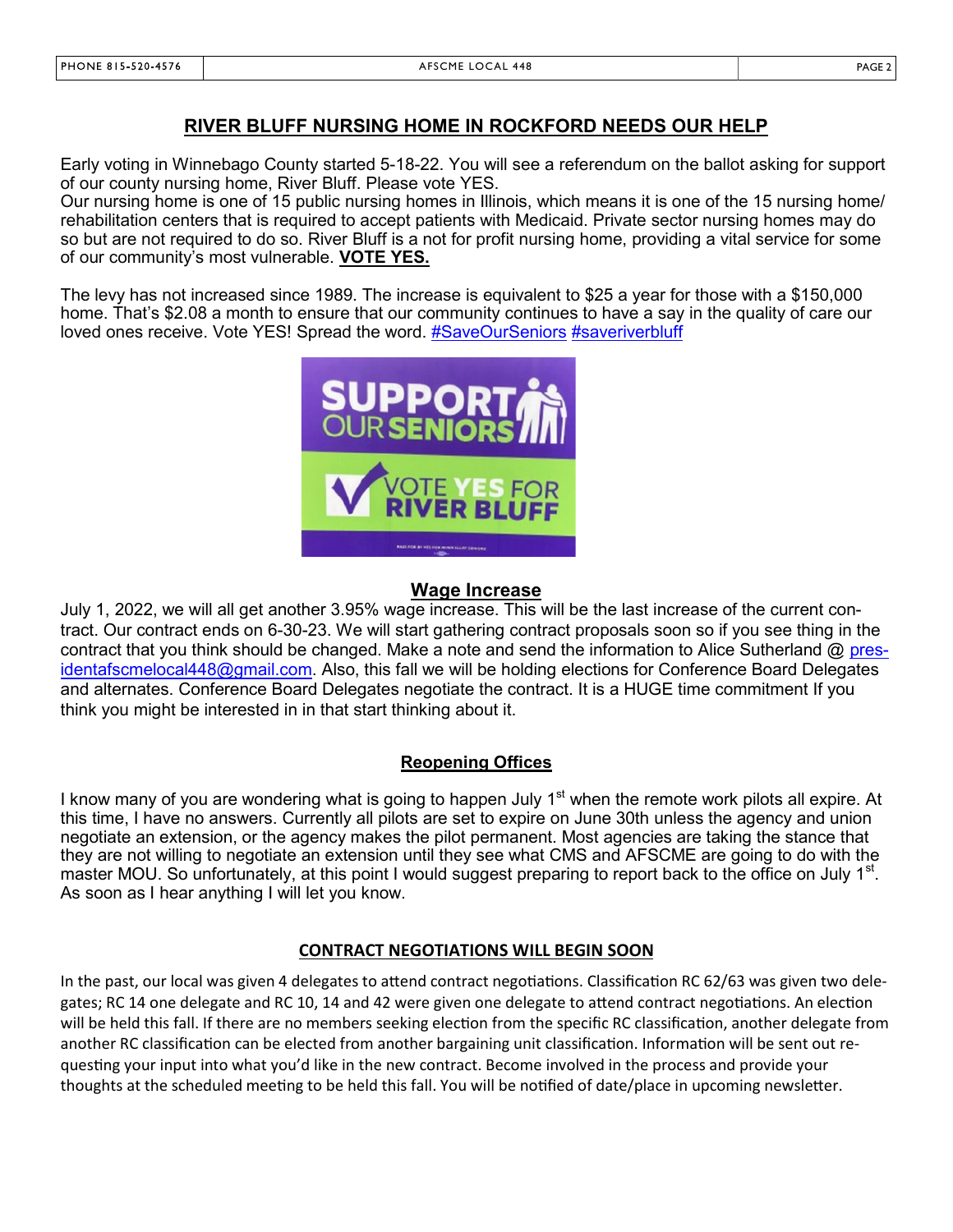#### **RIVER BLUFF NURSING HOME IN ROCKFORD NEEDS OUR HELP**

Early voting in Winnebago County started 5-18-22. You will see a referendum on the ballot asking for support of our county nursing home, River Bluff. Please vote YES.

Our nursing home is one of 15 public nursing homes in Illinois, which means it is one of the 15 nursing home/ rehabilitation centers that is required to accept patients with Medicaid. Private sector nursing homes may do so but are not required to do so. River Bluff is a not for profit nursing home, providing a vital service for some of our community's most vulnerable. **VOTE YES.**

The levy has not increased since 1989. The increase is equivalent to \$25 a year for those with a \$150,000 home. That's \$2.08 a month to ensure that our community continues to have a say in the quality of care our loved ones receive. Vote YES! Spread the word. [#SaveOurSeniors](https://www.facebook.com/hashtag/saveourseniors?__eep__=6&__cft__%5b0%5d=AZUXf4zepX6CIF5SHSkUvX0--II_tQgTHhluB36Hq74zAjC2SAvZPHN8OdEgkpVHdDk--3iUxe_6Dap_9dAmPmZOpn_jYjpdM6oNypd02pqb2i1xogSK_hqMtl_uLBsVa7WGvWXisG1QaUojZ4JcQnfQljww6YPykiKZa72k7wKWU95Wutb3_6xxKq) [#saveriverbluff](https://www.facebook.com/hashtag/saveriverbluff?__eep__=6&__cft__%5b0%5d=AZUXf4zepX6CIF5SHSkUvX0--II_tQgTHhluB36Hq74zAjC2SAvZPHN8OdEgkpVHdDk--3iUxe_6Dap_9dAmPmZOpn_jYjpdM6oNypd02pqb2i1xogSK_hqMtl_uLBsVa7WGvWXisG1QaUojZ4JcQnfQljww6YPykiKZa72k7wKWU95Wutb3_6xxKq)



#### **Wage Increase**

July 1, 2022, we will all get another 3.95% wage increase. This will be the last increase of the current contract. Our contract ends on 6-30-23. We will start gathering contract proposals soon so if you see thing in the contract that you think should be changed. Make a note and send the information to Alice Sutherland @ [pres](mailto:presidentafscmelocal448@gmail.com)[identafscmelocal448@gmail.com.](mailto:presidentafscmelocal448@gmail.com) Also, this fall we will be holding elections for Conference Board Delegates and alternates. Conference Board Delegates negotiate the contract. It is a HUGE time commitment If you think you might be interested in in that start thinking about it.

#### **Reopening Offices**

I know many of you are wondering what is going to happen July 1<sup>st</sup> when the remote work pilots all expire. At this time, I have no answers. Currently all pilots are set to expire on June 30th unless the agency and union negotiate an extension, or the agency makes the pilot permanent. Most agencies are taking the stance that they are not willing to negotiate an extension until they see what CMS and AFSCME are going to do with the master MOU. So unfortunately, at this point I would suggest preparing to report back to the office on July 1<sup>st</sup>. As soon as I hear anything I will let you know.

#### **CONTRACT NEGOTIATIONS WILL BEGIN SOON**

In the past, our local was given 4 delegates to attend contract negotiations. Classification RC 62/63 was given two delegates; RC 14 one delegate and RC 10, 14 and 42 were given one delegate to attend contract negotiations. An election will be held this fall. If there are no members seeking election from the specific RC classification, another delegate from another RC classification can be elected from another bargaining unit classification. Information will be sent out requesting your input into what you'd like in the new contract. Become involved in the process and provide your thoughts at the scheduled meeting to be held this fall. You will be notified of date/place in upcoming newsletter.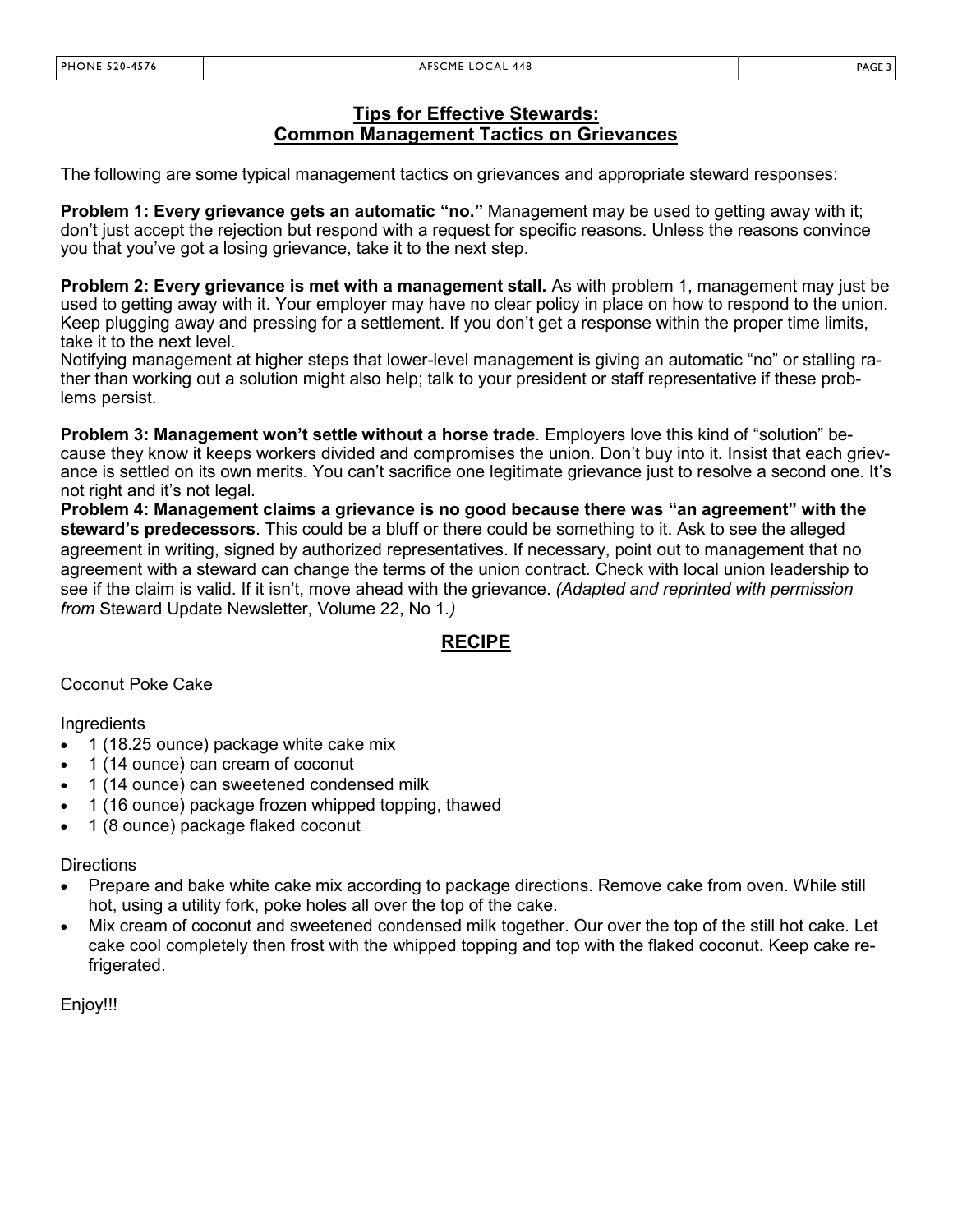### **Tips for Effective Stewards: Common Management Tactics on Grievances**

The following are some typical management tactics on grievances and appropriate steward responses:

**Problem 1: Every grievance gets an automatic "no."** Management may be used to getting away with it; don't just accept the rejection but respond with a request for specific reasons. Unless the reasons convince you that you've got a losing grievance, take it to the next step.

**Problem 2: Every grievance is met with a management stall.** As with problem 1, management may just be used to getting away with it. Your employer may have no clear policy in place on how to respond to the union. Keep plugging away and pressing for a settlement. If you don't get a response within the proper time limits, take it to the next level.

Notifying management at higher steps that lower-level management is giving an automatic "no" or stalling rather than working out a solution might also help; talk to your president or staff representative if these problems persist.

**Problem 3: Management won't settle without a horse trade**. Employers love this kind of "solution" because they know it keeps workers divided and compromises the union. Don't buy into it. Insist that each grievance is settled on its own merits. You can't sacrifice one legitimate grievance just to resolve a second one. It's not right and it's not legal.

**Problem 4: Management claims a grievance is no good because there was "an agreement" with the steward's predecessors**. This could be a bluff or there could be something to it. Ask to see the alleged agreement in writing, signed by authorized representatives. If necessary, point out to management that no agreement with a steward can change the terms of the union contract. Check with local union leadership to see if the claim is valid. If it isn't, move ahead with the grievance. *(Adapted and reprinted with permission from* Steward Update Newsletter, Volume 22, No 1*.)*

# **RECIPE**

Coconut Poke Cake

**Ingredients** 

- 1 (18.25 ounce) package white cake mix
- 1 (14 ounce) can cream of coconut
- 1 (14 ounce) can sweetened condensed milk
- 1 (16 ounce) package frozen whipped topping, thawed
- 1 (8 ounce) package flaked coconut

#### **Directions**

- Prepare and bake white cake mix according to package directions. Remove cake from oven. While still hot, using a utility fork, poke holes all over the top of the cake.
- Mix cream of coconut and sweetened condensed milk together. Our over the top of the still hot cake. Let cake cool completely then frost with the whipped topping and top with the flaked coconut. Keep cake refrigerated.

Enjoy!!!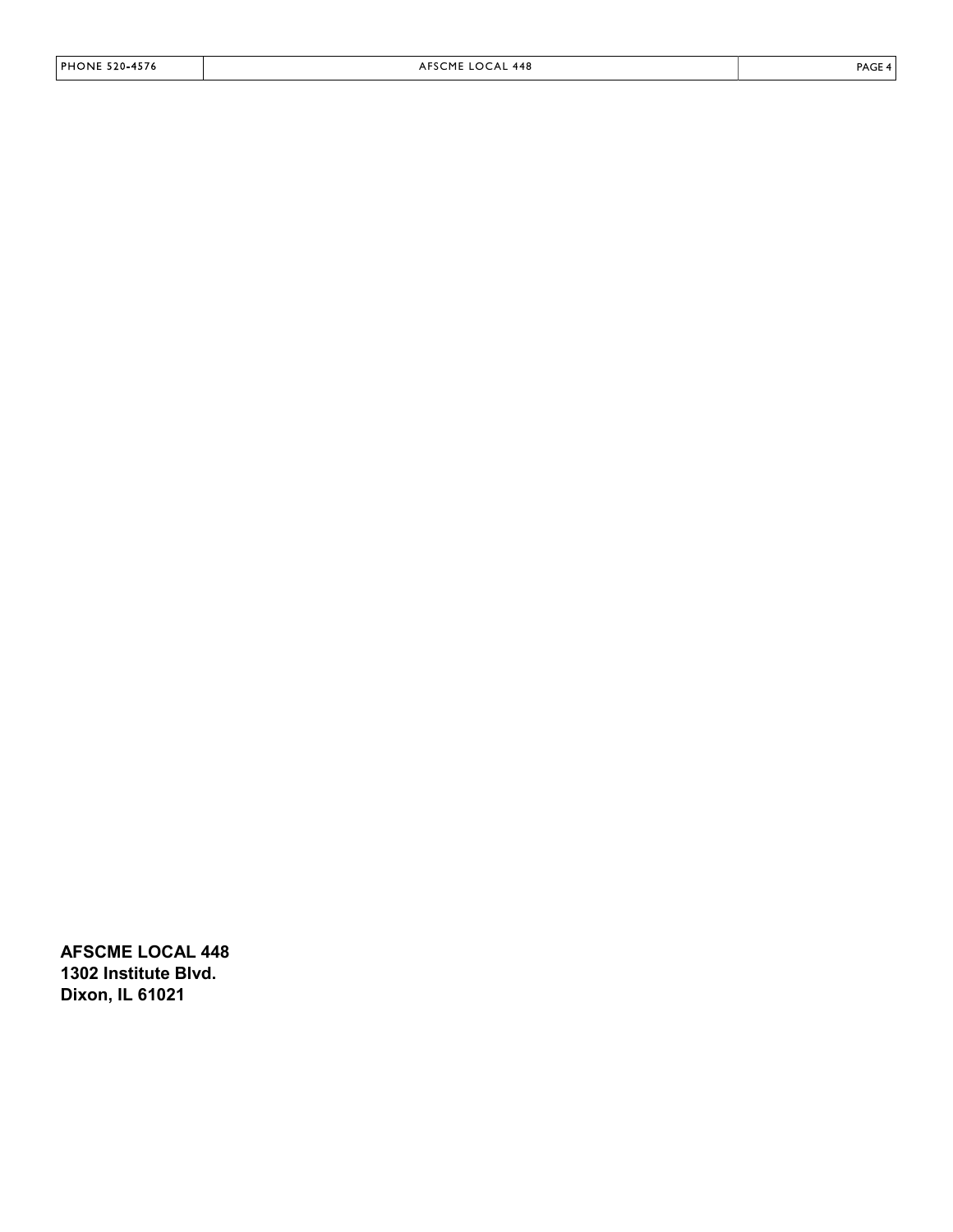**AFSCME LOCAL 448 1302 Institute Blvd. Dixon, IL 61021**